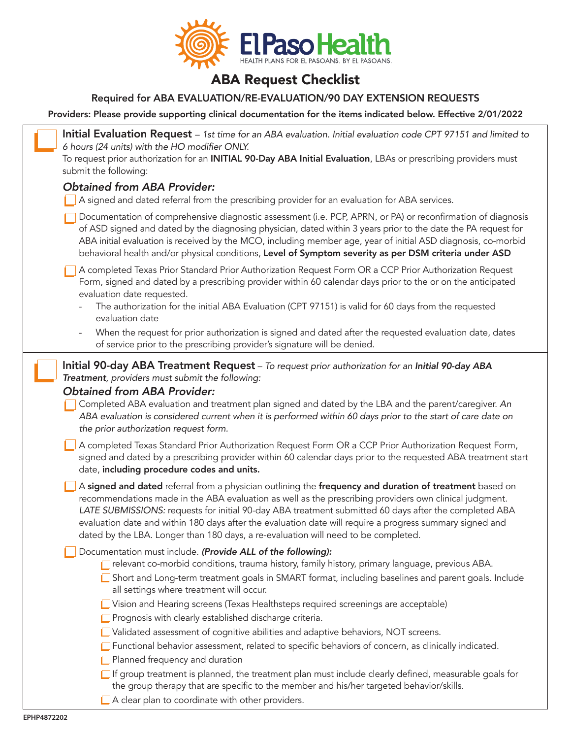

## ABA Request Checklist

## Required for ABA EVALUATION/RE-EVALUATION/90 DAY EXTENSION REQUESTS

Providers: Please provide supporting clinical documentation for the items indicated below. Effective 2/01/2022

| Initial Evaluation Request - 1st time for an ABA evaluation. Initial evaluation code CPT 97151 and limited to<br>6 hours (24 units) with the HO modifier ONLY.<br>To request prior authorization for an INITIAL 90-Day ABA Initial Evaluation, LBAs or prescribing providers must<br>submit the following:                                                                                                                                                                                                                   |
|------------------------------------------------------------------------------------------------------------------------------------------------------------------------------------------------------------------------------------------------------------------------------------------------------------------------------------------------------------------------------------------------------------------------------------------------------------------------------------------------------------------------------|
| <b>Obtained from ABA Provider:</b><br>A signed and dated referral from the prescribing provider for an evaluation for ABA services.                                                                                                                                                                                                                                                                                                                                                                                          |
| Documentation of comprehensive diagnostic assessment (i.e. PCP, APRN, or PA) or reconfirmation of diagnosis<br>of ASD signed and dated by the diagnosing physician, dated within 3 years prior to the date the PA request for<br>ABA initial evaluation is received by the MCO, including member age, year of initial ASD diagnosis, co-morbid<br>behavioral health and/or physical conditions, Level of Symptom severity as per DSM criteria under ASD                                                                      |
| A completed Texas Prior Standard Prior Authorization Request Form OR a CCP Prior Authorization Request<br>Form, signed and dated by a prescribing provider within 60 calendar days prior to the or on the anticipated<br>evaluation date requested.<br>The authorization for the initial ABA Evaluation (CPT 97151) is valid for 60 days from the requested                                                                                                                                                                  |
| evaluation date<br>When the request for prior authorization is signed and dated after the requested evaluation date, dates<br>$\overline{\phantom{0}}$<br>of service prior to the prescribing provider's signature will be denied.                                                                                                                                                                                                                                                                                           |
| Initial 90-day ABA Treatment Request - To request prior authorization for an Initial 90-day ABA<br>Treatment, providers must submit the following:<br><b>Obtained from ABA Provider:</b><br>Completed ABA evaluation and treatment plan signed and dated by the LBA and the parent/caregiver. An<br>ABA evaluation is considered current when it is performed within 60 days prior to the start of care date on<br>the prior authorization request form.                                                                     |
| A completed Texas Standard Prior Authorization Request Form OR a CCP Prior Authorization Request Form,<br>signed and dated by a prescribing provider within 60 calendar days prior to the requested ABA treatment start<br>date, including procedure codes and units.                                                                                                                                                                                                                                                        |
| A signed and dated referral from a physician outlining the frequency and duration of treatment based on<br>recommendations made in the ABA evaluation as well as the prescribing providers own clinical judgment.<br>LATE SUBMISSIONS: requests for initial 90-day ABA treatment submitted 60 days after the completed ABA<br>evaluation date and within 180 days after the evaluation date will require a progress summary signed and<br>dated by the LBA. Longer than 180 days, a re-evaluation will need to be completed. |
| Documentation must include. (Provide ALL of the following):<br>relevant co-morbid conditions, trauma history, family history, primary language, previous ABA.<br>Short and Long-term treatment goals in SMART format, including baselines and parent goals. Include<br>all settings where treatment will occur.                                                                                                                                                                                                              |
| Vision and Hearing screens (Texas Healthsteps required screenings are acceptable)<br>Prognosis with clearly established discharge criteria.<br>Validated assessment of cognitive abilities and adaptive behaviors, NOT screens.                                                                                                                                                                                                                                                                                              |
| Functional behavior assessment, related to specific behaviors of concern, as clinically indicated.<br>Planned frequency and duration                                                                                                                                                                                                                                                                                                                                                                                         |
| $\Box$ If group treatment is planned, the treatment plan must include clearly defined, measurable goals for<br>the group therapy that are specific to the member and his/her targeted behavior/skills.<br>A clear plan to coordinate with other providers.                                                                                                                                                                                                                                                                   |